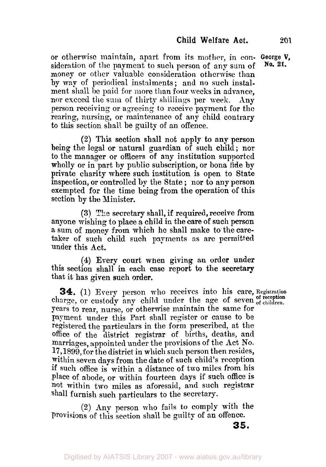**No. 21.** 

**or** otherwise maintain, apart from its **mother,** in con- **George V,**  sideration of the payment to such person of any sum of money or other valuable consideration otherwise than by way of periodical instalments ; and no such instalment shall be paid for **more** than four weeks in advance, nor exceed the **sum** of thirty shillings per week. Any person receiving or agreeing *to* receive payment for the rearing, nursing, or maintenance of any child contrary to this section shall be guilty of an offence.

**(2)** This section shall not apply to any person being the legal or natural guardian of such child ; nor to the manager or officers of any institution supported wholly or in part by public subscription, or bona fide by private charity where such institution is open to State inspection, or controlled by the State ; nor to any person exempted for the time being from the operation of this section by the Minister.

**(3)** The secretary shall, if required, receive from anyone wishing to place a child in the care of such person a sum of money from which he shall make to the caretaker of such child such payments as arc permitted under this Act.

**(4)** Every court when giving an order **under**  this section shall in each **case** report to the secretary that it has given such order.

**34. (1)** Every person **who** receives into his care, **Registration**  charge, or custody any child under the age of seven of reception charge, or custody any child under the age of seven of children. years to rear, nurse, or otherwise maintain the same for payment under this Part shall register or cause to be registered the particulars in the form prescribed, at the office **of** the district registrar of births, deaths, and marriages, appointed under the provisions of the Act No. 17, 1899, for the district in which such person then resides, within seven days from the date of such child's reception if such office is within a distance of two miles from his place of abode, or within fourteen days if such office is not within two miles as aforesaid, and such registrar shall furnish such particulars to the secretary.

**(2)** Any person who fails to comply with the Provisions of this section shall be guilty of an offence.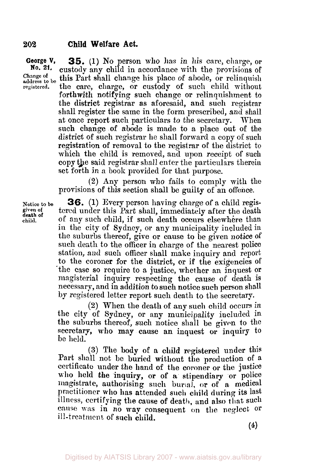**George V, 35.** (1) No person who has in his care, charge, or<br>**No. 21.** enstedy any child in accordance with the provisions of **No. 21.** custody any child in accordance with the provisions of Change of this Part shall change bis place of abode or relinquish **address Change to** be this Part shall change his place of abode, or relinquish **registered.** the Care, Charge, or Custody **Of** such Child Without forthwith notifying such change or relinquishment to the district registrar as aforesaid, and such registrar shall register the same in the form prescribed, and shall at once report such particulars to the secretary. When such change of abode is made to **a** place out of the district of such registrar he shall forward a copy of such registration **of** removal to the registrar **of** the district to which the child is removed, and upon receipt of such copy the said registrar shall enter the particulars therein set forth in a book provided for that purpose.

> **(2)** Any person who fails to comply with the provisions **of** this section shall be guilty of an offence.

**Notice to be given of child. death of** 

**36. (1)** Every person having charge of a child registered under this Part shall, immediately after the death of any such child, if such death occurs elsewhere than in the city **of** Sydney, or any municipality included in the suburbs thereof, give or cause to be given notice of such death to the officer in charge of the nearest police station, and such officer shall make inquiry and report to the coroner **for** the district, or if the exigencies of 'the case so require to a justice, whether an inquest or magisterial inquiry respecting the cause of death is necessary, and in addition to such notice such person shall by registered letter report such death to the secretary.

**(2)** When the death of any such child occurs in the city of Sydney, or any municipality included in the suburbs thereof, such notice shall be given to the secretary, who may cause an inquest or inquiry to be held.

**(3)** The body **of** a child registered under this Part shall not **be** buried without the production of a certificate under the **hand** of the coroner or the justice who held **the** inquiry, or of a stipendiary or police magistrate, authorising such burial, or **of** a medical practitioner **who** has attended such child during its last illness, certifying the cause of death, and also that such cause **was** in no **way** consequent on the neglect or ill-treatment of such child.

**(4)**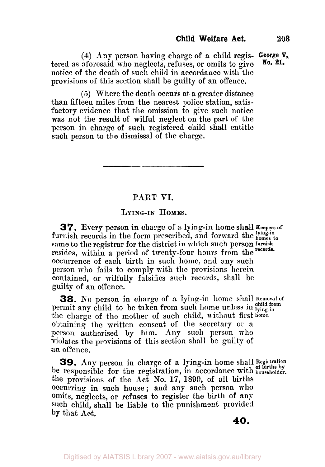**(4)** Any person having charge of a child regis- **George V,.**  tered as aforesaid who neglects, refuses, or omits to give notice of the death of such child in accordance with the provisions **of** this section shall be guilty **of** an offence. **No. 21.** 

(5) Where the death occurs at a greater distance than fifteen miles from the nearest police station, satisfactory evidence that the omission to give such notice was not the result of wilful neglect on the part of the person in charge of such registered child shall entitle such person to the dismissal of the charge.

# **PART VI.**

# **LYING-IN HOMES.**

*31.*  **Every** person in charge of **a** lying-in home shall **Keepers of**  furnish records in the form prescribed, and forward the sum is to same to the registrar for the district in which such person furnish resides, within a period of twenty-four hours from the records. occurrence of each birth in such home, and any such person who fails to comply with the provisions herein contained, or wilfully falsifies such records, shall be guilty **of** an offence.

**38.** No person in charge of a lying-in home shall Removal of permit any child to be taken from such home unless in *pind* from the charge of the mether of  $m$ , and  $m$  is a state of  $m$ the charge of the mother of such child, without first **home.**  obtaining the written consent of the secretary or a person authorised by **him. Any** such person who violates the provisions of this section shall be guilty of an offence.

**39. Any** person in charge of a lying-in home shall **Registration**  be responsible for the registration, in accordance with **householder**. the provisions of the Act **No. 17, 1890,** of all births occurring in such house; and **any** such person **who**  Omits, neglects, **or** refuses to register the birth of any such child, shall be liable to the punishment provided **by** that Act,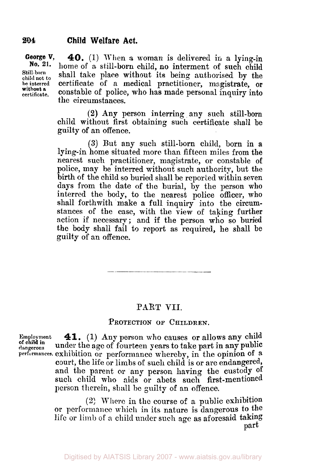**George V, 40.** (1) When a woman is delivered in a lying-in<br>No. 21. home of a still home child no interment of such hill **No. 21.** home of a still-born child, **no** interment of such child Still-born shall take place without its being authorised by the beinterred certificate of a medical practitioner magistrate or certificate of a medical practitioner, magistrate, or **certificate.** constable of police, **who has** made personal inquiry into the circumstances. **without** *a* 

> **(2) Any** person interring any such still-born child without first obtaining such certificate shall be guilty **of** an offence.

> **(3)** But any such still-born child, born in a lying-in home situated more than fifteen miles from the nearest such practitioner, magistrate, or constable of police, may be interred without such authority, but the birth of the child so buried shall be reported within seven days from the date of the burial, by the person who interred the body, to the nearest police officer, who shall forthwith make a full inquiry into the circumstances of the case, with the view of taking further action if necessary; and if the person who so buried the body shall fail to report as required, he shall be guilty of an offence.

### **PART** VII.

the contract of the contract of the contract of the contract of

#### **PROTECTION OF CHILDREN.**

**of child in** 

**Employment 41. (1)** Any person who causes or allows any child **dangerous** under the age of fourteen gears to take part in any public **performances.** exhibition or performance whereby, in the opinion **of** a court, the life **or** limbs of such child is or are endangered, and the parent **or** any person having the custody **of**  such child who aids or abets such first-mentioned person therein, shall he guilty of an offence.

> **(2)** Where in the course of a public exhibition or performance which in its nature is dangerous to the life or limb of a child under such **age as** aforesaid taking part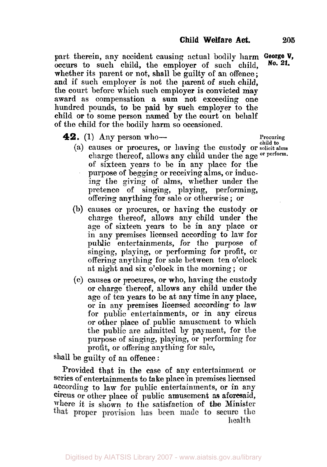part therein, any accident causing actual bodily harm George **V**, cocurs to such child the employer of such child **No. 21.** occurs to such child, the employer of such child, whether its parent **or** not, shall be guilty **of** an offence; **and** if such employer is not the parent *of* such child, the court before which such employer **is** convicted may award as compensation **a sum not** exceeding one hundred pounds, to **be** paid **by** such employer to the child **or** to some person named **by** the court on behalf of the child **for** the bodily harm so occasioned.

**42.** (1) Any person who-<br>  $\begin{array}{ccc}\n\bullet & \bullet & \bullet \\
\bullet & \bullet & \bullet\n\end{array}$  Procuring  $\begin{array}{ccc}\n\bullet & \bullet & \bullet \\
\bullet & \bullet & \bullet\n\end{array}$ 

- **child to** (a) causes or procures, or having the custody **or solicit alms**  charge thereof, allows any child under the age or perform. of sixteen years to be in any place **for** the purpose of begging or receiving alms, or inducing the giving of **alms,** whether under the pretence of singing, playing, performing, offering anything for sale or otherwise ; or
- (b) causes **or** procures, **or** having the custody or charge thereof, allows any child under the age of sixteen years to be in any place or in any premises licensed according to law for public entertainments, **for the** purpose of singing, playing, or performing **for** profit., or offering anything for sale between ten o'clock at night and six o'clock in the morning ; **or**
- (c) muses **or** procures, **or** who, having the custody or charge thereof, allows any child under the age of ten years **to be** at any time in any place, or in any premises licensed according. to **law**  for public entertainments, or in any circus or other place **of** public amusement to which the public are admitted by payment, for the purpose of singing, playing, or performing for profit, or offering anything for sale,

Shall be guilty of an offence :

Provided that in the case of any entertainment or Series of entertainments to **take** place in **premises** licensed according to **law** for public entertainments, **or** in any **circus** or other place **of** public amusement **as** aforesaid, where it is shown to the satisfaction of the Minister<br>that proper provision has been made to secure the health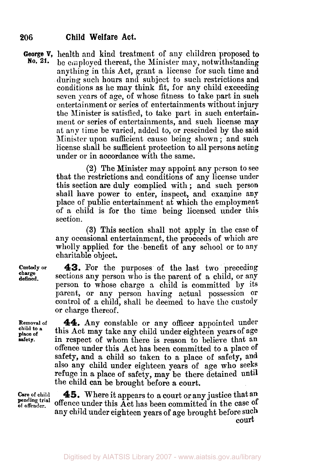**George V,** health and kind treatment of any children proposed to **No. 21.** he amployed thereat the Minister may notwithstanding be employed thereat, the Minister may, notwithstanding anything in this Act, grant a license for such time and during such hours and subject to such restrictions and conditions as he may think fit, for any child exceeding seven years of age, of whose fitness to take part in such entertainment or series of entertainments without injury the Minister is satisfied, to take part in such entertainment or series of entertainments, and such license **may at any** time be varied, added to, or rescinded by the said Minister upon sufficient cause being shown ; and such license shall be sufficient protection to all persons acting under or in accordance with the same.

> **(2)** The Minister may appoint any person to see that the restrictions and conditions of any license under this section are duly complied with ; and such person shall have power **to** enter, inspect, and examine any place **of** public entertainment at which the employment of a child is for the time being licensed under this section.

> **(3)** This section shall not apply in the case **of**  any occasional entertainment, the proceeds of which **are**  wholly applied for the benefit of any school or to any charitable object.

**43.** For the purposes of the last two preceding sections any person who is the parent of a child, or any person to whose charge a child is committed by its parent, or any person having actual possession **or**  control of a child, shall be deemed to have the custody or charge thereof.

**Removal of child to a place of safety.** 

**44.** Any constable or **any** officer appointed under this Act **may** take any child under eighteen years of age in respect of whom there is reason to believe that an offence under this Act has been committed to a place of safety, and a child so taken to a place **of** safety, and also any child under eighteen years of age who seeks refuge in a place of safety, may be there detained until the child **can** be brought before a court.

**45.** Where it appears to a court or any justice that an offence under this Act has been committed in the case **of any** child under eighteen years of **age** brought before such **pending trial court** 

**Care of child of offender.** 

**Custody or charge defined.**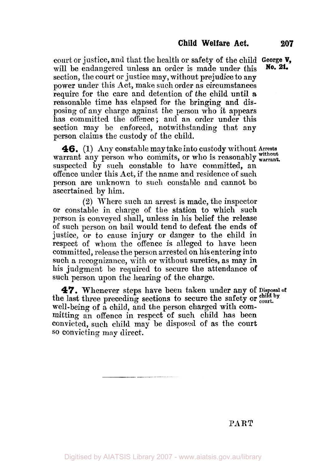court or justice, and that the health or safety **of** the child **George V,**  will be endangered unless an order is made under this section, the court **or** justice may, without prejudice to any power under this Act, make such order as circumstances require for the care and detention of the child until a reasonable time has elapsed for the bringing and disposing of any charge against the person who it appears has committed the offence; and an order under this section may be enforced, notwithstanding that **any**  person claims the custody of the child. **No. 21.** 

**46.** (1) Any constable may take into custody without **Arrests**  warrant any person who commits, or who is reasonably without suspected by such constable to have committed, an offence under this Act, if the name and residence of such person are unknown to such constable and cannot be ascertained by him.

**(2)** Where such an arrest is made, the inspector or constable in charge of the station to which such person is conveyed shall, unless in his belief the release **of** such person on bail mould tend to defeat the ends **of**  justice, or to cause injury or danger to the child in respect of whom the offence is alleged to have been committed, release the person arrested on his entering into such a recognizance, with or without sureties, **as** may in his judgment be required to secure the attendance **of**  such person upon the hearing of the charge.

the last three preceding sections to secure the safety or court. well-being of a child, and the person charged with committing an offence in respect of such child has been convicted, such child may be disposed of as the court *SO* convicting may direct. **47.** Whenever steps have been taken under **any of Disposal** 

PART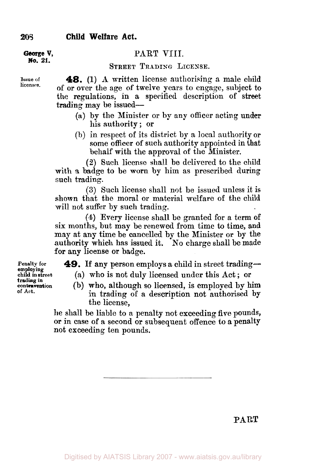**George V, PART** VIII.

**STREET TRADING LICENSE.** 

**Issue of 48. (1) A** written license authorising a male child of or over the age of twelve years to engage, subject to the regulations, **in** a specified description of street trading may be issued-

- (a) by the Minister or by any officer acting under his authority ; or
- (b) in respect of its district by a local authority or some officer of such authority appointed in that behalf with the approval of the Minister.

*(B)* Such license shall be delivered to the child with a badge to be worn by him as prescribed during such trading.

**(3)** Such license shall not be issued unless it is shown that the moral or material welfare of the child will not suffer by such trading.

**(4)** Every license shall be granted for a term of **six** months, but may be renewed from time to time, **and**  may at any time be cancelled by the Minister or by the authority which has issued it. **No** charge shall be made **for** any license or badge.

**49.** If any person employs a child in street trading—

(a) who is not duly licensed under this Act ; **or** 

(b) who, although so licensed, is employed by him in trading of **a** description not authorised **by**  the license,

he shall be liable to a penalty not exceeding **five** pounds, or in case **of** a second or subsequent offence to a penalty not exceeding ten pounds.

**Penalty for child in street contravention employing trading in of Act.** 

**No. 21.** 

**licenses.**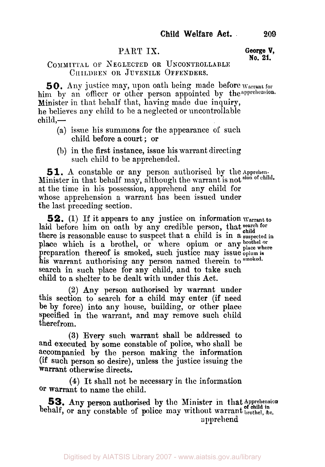## PART IX. **George V,**

# **No. 21.**

#### **COMMITTAL OF NEGLECTED OR UNCONTROLLABLE CHILDREN** OR **JUVENILE OFFENDERS.**

*50.* **Any** justice may, upon oath being made before **Warrant for**  him by an officer or other person appointed by the apprehension. Minister in that behalf that, having made due inquiry, he believes **any** child to **be a** neglected or uncontrollable  $child$ .

- (a) issue his summons for the appearance of such child before a court ; or
- (b) in the first instance, issue his warrant directing such child to be apprehended.

**51.** A constable or any person authorised by the Apprehen-Minister in that behalf may, although the warrant is not **sion of**  at the time in his possession, apprehend any child for whose apprehension a warrant has been issued under the last preceding section.

**52. (1)** If it appears to any justice on information **Warrant to**  laid before him on oath by any credible person, that search for there is reasonable cause to suspect that a child is in a suspected in place which is a brothel, or where opium or any brothel or preparation thereof is smoked, such justice may issue **opium** *is*  his warrant authorising any person named therein to smoked. search in such place for any child, and to take such child to a shelter to be dealt with under this Act.

**(2)** Any person authorised by warrant under this section to search for **a** child may enter (if need be by force) into any house, building, or other place specified in the warrant, and may remove such child therefrom.

**(3)** Every such warrant shall be addressed to and executed **by** some constable **of** police, **who** shall be accompanied by the person making the information (if **such** person so desire), unless the justice issuing the warrant otherwise directs.

**(4)** It shall not be necessary in the information **Or** warrant to name the child.

**53.** Any **person** authorised by the Minister in that **Apprehension**  behalf, or any constable of police may without warrant **brothel**,  $\lambda$ c. apprehend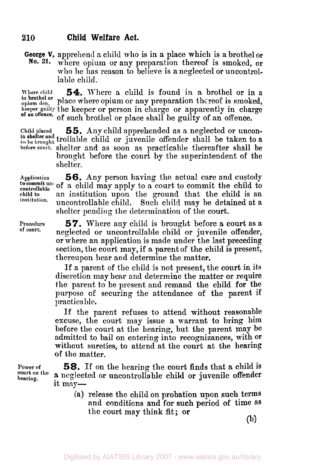**George V, apprehend a child who is in a place which is a brothel or No. 21.** where only not any preparation thereof is smoked or where opium or any preparation thereof is smoked, or who he has reason to believe is a neglected or uncontrollable child.

**in brothel or** 

**Where child 54.** Where a child is found in a brothel or in **<sup>a</sup>** in brothel or place where opium or any preparation thereof is smoked, **keeper guilty** the keeper or person in charge or apparently in charge of such brothel or place shall be guilty of an offence. **of an offence.** 

**Child placed 55.** Any child apprehended **as** a neglected or uncon**to be brought** trollable child or juvenile offender shall be taken to a **in shelter and before court.** shelter and **as** soon as practicable thereafter shall be brought before the court by the superintendent of the shelter.

**Applcation child to controllable institation.** 

**Procedure of court.** 

**56.** Any person having the actual care and custody to commit un of a child may apply to a court to commit the child to an institution upon the ground that the child is an uncontrollable child. Such child may be detained at a shelter pending the determination of the court.

> **57.** Where any child is brought before a court as a neglected or uncontrollable child or juvenile offender, or where an application is made under the last preceding section, the court may, if a parent of the child is present, thereupon hear and determine the matter.

> If a parent of the child is not present, the court in its discretion may hear and determine the matter or require the parent to be present and remand the child for the purpose of securing the attendance of the parent if practicable.

> If the parent refuses to attend without reasonable excuse, the court may issue a warrant to bring him before the court at the hearing, but the parent may be admitted to bail on entering into recognizances, with Or without sureties, to attend at the court at the hearing **of** the matter.

**Power of court on the hearing.** 

*58.* If on the hearing the court finds that a child **is a** neglected or uncontrollable child or juvenile offender it **may-** 

**(a)** release the child on probation **upon such** terms and conditions and for **such** period of time as the court **may** think fit; or

(b)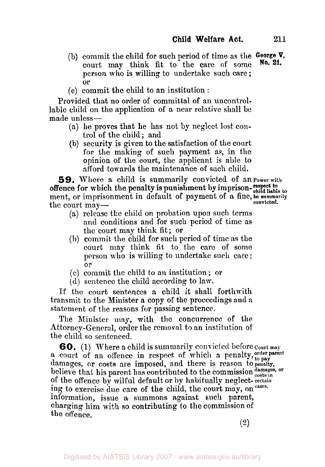- (b) commit the child for such period of time as the **George V,**  court may think fit to the care of some person who is willing to undertake such care ; or
- (c) commit the child to an institution :

Provided that no order of committal of an uncontrollable child on the application **of** a near relative shall be made unless-

- (a) lie proves that he has not by neglect lost control of the child ; and
- (b) security is given to the satisfaction of the court for the making of such payment as, in the opinion of the **court,** the applicant is able to afford towards the maintenance of such child.

**59.** Where a child is summarily convicted of an **Power with**  ment, or imprisonment in default of payment of **a** fine, **be summarily**  the court mayoffence for which the penalty is punishment by imprison-respect to child liable to **convicted.** 

- (a) release the child on probation upon such terms and conditions and for such period of time as the court map think fit; or
- (h) commit the child for such period of time as the court may think fit to the care of some person who is milling to undertake such care ; or
- *(c)* commit the child to an institution; or
- **(d)** sentence the child according to law.

If tlie court sentences **a** child it shall forthwith transmit to the Minister a copy of the proceedings and a statement of the reasons for passing sentence.

The Minister may, with the concurrence of the .Attorney-General, order the removal to an institution of the child so sentenced.

*60.* (1) Where a child is summarily convicted before **Court may**  a court of an offence in respect of which a penalty, order parent damages, or costs are imposed, and there is recent to pay damages, or costs are imposed, and there is reason **to penalty,**  believe that his parent has contributed to the commission  $\frac{d{\text{amages}}}{costs \text{ in}}$ of the offence by wilful default or **by** habitually neglect- **certain ing** to exercise **due** care of the child, the court may, **on cases.**  information, issue **a** summons against such parent, charging him with so contributing to the commission of the offence.

**(2)**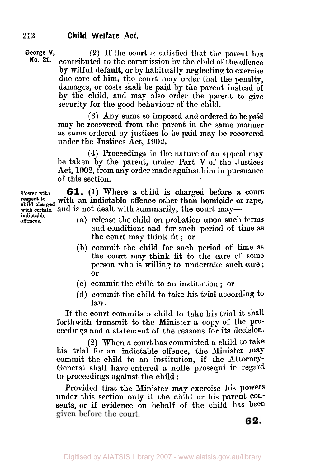**George V,** (2) If the court is satisfied that the parent has<br>**No. 21.** contributed to the commission by the child of the offense contributed to the commission by the child of the offence by wilful default, or by habitually neglecting to exercise due care of him, the court may order that the penalty, damages, or costs shall be paid by the parent instead of by the child, and may also order the parent to give security for the good behaviour of the child.

> **(3)** Any sums so imposed and ordered to be paid may be recovered from the parent **in the** same manner as sums ordered by justices to be paid may **be** recovered under the Justices Act, **1902.**

> **(4)** Proceedings in the nature of an appeal may be taken by the parent, under Part **V** of the Justices Act, **1902,** from any order made against him in pursuance of this section.

**61. (1)** Where a child is charged before a court Power with **old**, (1) where a culture is charged before a court respect to with an indictable offence other than homicide or rape, child charged and in not dealt with announce in the second mass with certain and is not dealt with summarily, the court may—

- (a) release the child on probation upon such terms and conditions and for such period of time as the court may think fit ; or
- (b) commit the child for such period of time as the court may think fit to the care of some person who is willing to undertake such care ; or
- (c) commit the child to an institution ; or
- (d) commit the child to take his trial according to law.

If the court commits a child to take his trial it shall forthwith transmit to the Minister a copy of the proceedings and a statement of the reasons for its decision.

(2) When a court has committed a child to take his trial for an indictable offence, the Minister may commit the child to an institution, if the Attorney-General **shall** have entered **a** nolle prosequi in regard to proceedings against the child :

Provided that the Minister may exercise his **powers**  under this section only if the child or his parent Consents, or if evidence on behalf of the child has been given before the court.

**offences. indictable**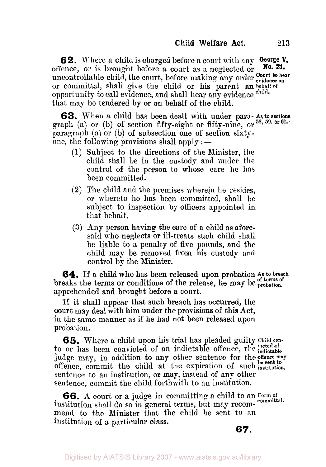**6 2.** Where a child is charged before a court with any **George V,**  offence, or is brought before a court **as** a neglected or uncontrollable child, the court, before making any order *court* to hear or committal, shall give the child or his parent an **behalf of**  that map be tendered by or on behalf of the child. **No. 21.**  opportunity to call evidence, and shall hear any evidence **child.** 

graph (a) or (b) of section fifty-eight or fifty-nine, or  $^{58, 59, \text{ or}}$ paragraph (a) or (b) of subsection one of section sixtyone, the following provisions shall apply  $:$ -**63.** When a child has been dealt with under para- **As to sections** 

- **(1)** Subject to the directions of the Minister, the child shall be in the custody and under the control of the person to whose care **lie** has been committed.
- **(2)** The child and the premises wherein he resides, or whereto he has been committed, shall be subject to inspection by officers appointed in that behalf.
- **(3)** Any person having the care of a child as aforesaid who neglects or ill-treats such child shall be liable to a penalty of five pounds, and the child may be removed from his custody and control by the Minister.

**64.** If a child who has been released upon probation **As breach**  breaks the terms or conditions of the release, lie may be probation. apprehended and brought before a court.

If it shall appear that **such** breach **has** occurred, the court may deal with him under the provisions **of** this Act, in the same manner as if he had not been released upon probation.

*65.* Where a child upon his trial has pleaded guilty **Child con**to or has been convicted of an indictable offence, the *victed* of judge may, in addition to any other sentence for the offence may offence, commit the child at the expiration of such institution. sentence to an institution, or may, instead of **any** other sentence, commit the child forthwith to an institution.

institution shall do so in general terms, but may recom-committal. mend to the Minister that the child be sent to an institution of a particular class. **66.** A court or a judge in committing a child to an Form of